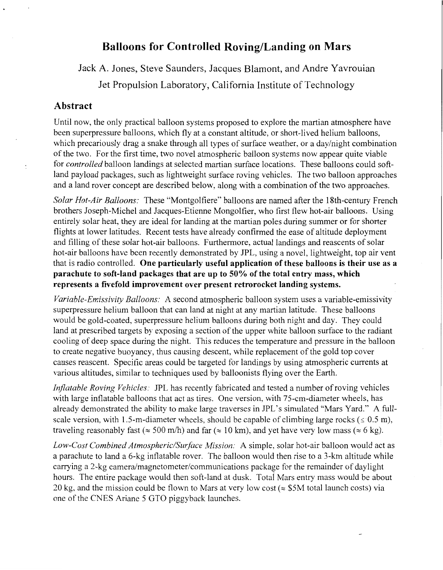# **Balloons for Controlled Roving/Landing on Mars**

Jack **A.** Jones, Steve Saunders, Jacques Blamont, and Andre Yavrouian

Jet Propulsion Laboratory, California Institute of Technology

### **Abstract**

Until now, the only practical balloon systems proposed to explore the martian atmosphere have been superpressure balloons, which fly at a constant altitude, or short-lived helium balloons, which precariously drag a snake through all types of surface weather, or a day/night combination of the two. For the first time, two novel atmospheric balloon systems now appear quite viable for *controlled* balloon landings at selected martian surface locations. These balloons could softland payload packages, such as lightweight surface roving vehicles. The two balloon approaches and a land rover concept are described below, along with a combination of the two approaches.

*Solar Hot-Air Balloons:* These "Montgolfiere" balloons are named after the 18th-century French brothers Joseph-Michel and Jacques-Etienne Mongolfier, who first flew hot-air balloons. Using entirely solar heat, they are ideal for landing at the martian poles during summer or for shorter flights at lower latitudes. Recent tests have already confirmed the ease of altitude deployment and filling of these solar hot-air balloons. Furthermore, actual landings and reascents of solar hot-air balloons have been recently demonstrated by JPL, using a novel, lightweight, top air vent that is radio controlled. **One particularly useful application of these balloons is their use as a parachute to soft-land packages that are up to 50% of the total entry mass, which represents a fivefold improvement over present retrorocket landing systems.** 

*Variable-Emissivity Balloons:* A second atmospheric balloon system uses a variable-emissivity superpressure helium balloon that can land at night at any martian latitude. These balloons would be gold-coated, superpressure helium balloons during both night and day. They could land at prescribed targets by exposing a section of the upper white balloon surface to the radiant cooling of deep space during the night. This reduces the temperature and pressure in the balloon to create negative buoyancy, thus causing descent, while replacement of the gold top cover causes reascent. Specific areas could be targeted for landings by using atmospheric currents at various altitudes, similar to techniques used by balloonists flying over the Earth.

*Inflatable Roving Vehicles:* JPL has recently fabricated and tested a number of roving vehicles with large inflatable balloons that act as tires. One version, with 75-cm-diameter wheels, has already demonstrated the ability to make large traverses in JPL's simulated "Mars Yard." A fullscale version, with 1.5-m-diameter wheels, should be capable of climbing large rocks ( $\leq 0.5$  m), traveling reasonably fast ( $\approx$  500 m/h) and far ( $\approx$  10 km), and yet have very low mass ( $\approx$  6 kg).

*Low-Cost Combined Atmospheric/Surface Mission;* A simple, solar hot-air balloon would act as a parachute to land a 6-kg inflatable rover. The balloon would then rise to a 3-km altitude while carrying a 2-kg camera/magnetometer/communications package for the remainder of daylight hours. The entire package would then soft-land at dusk. Total Mars entry mass would be about 20 kg, and the mission could be flown to Mars at very low cost  $(\approx $5M]$  total launch costs) via one of the CNES Ariane 5 GTO piggyback launches.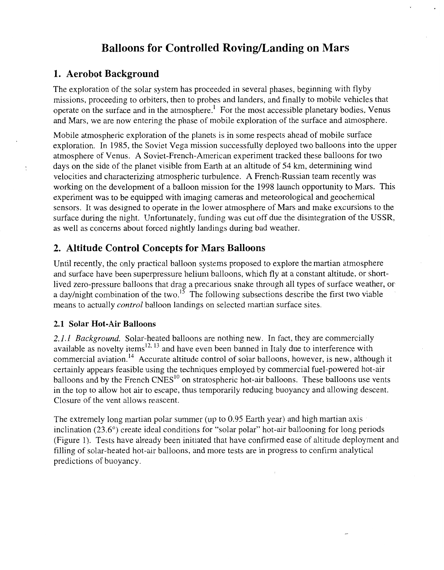# **Balloons for Controlled Roving/Landing on Mars**

### **1. Aerobot Background**

The exploration of the solar system has proceeded in several phases, beginning with flyby missions, proceeding to orbiters, then to probes and landers, and finally to mobile vehicles that operate on the surface and in the atmosphere.' For the most accessible planetary bodies, Venus and Mars, we are now entering the phase of mobile exploration of the surface and atmosphere.

Mobile atmospheric exploration of the planets is in some respects ahead of mobile surface exploration. In 1985, the Soviet Vega mission successfully deployed two balloons into the upper atmosphere of Venus. A Soviet-French-American experiment tracked these balloons for two days on the side of the planet visible from Earth at an altitude of **54** km, determining wind velocities and characterizing atmospheric turbulence. A French-Russian team recently was working on the development of a balloon mission for the 1998 launch opportunity to Mars. This experiment was to be equipped with imaging cameras and meteorological and geochemical sensors. It was designed to operate in the lower atmosphere of Mars and make excursions to the surface during the night. Unfortunately, funding was cut off due the disintegration of the USSR, as well as concerns about forced nightly landings during bad weather.

# **2. Altitude Control Concepts for Mars Balloons**

Until recently, the only practical balloon systems proposed to explore the martian atmosphere and surface have been superpressure helium balloons, which fly at a constant altitude, or shortlived zero-pressure balloons that drag a precarious snake through all types of surface weather, or a day/night combination of the two.<sup>15</sup> The following subsections describe the first two viable means to actually *control* balloon landings on selected martian surface sites.

#### **2.1 Solar Hot-Air Balloons**

*2.1.1 Background.* Solar-heated balloons are nothing new. In fact, they are commercially wailable as novelty items<sup>12, 13</sup> and have even been banned in Italy due to interference with commercial aviation.<sup>14</sup> Accurate altitude control of solar balloons, however, is new, although it certainly appears feasible using the techniques employed by commercial fuel-powered hot-air balloons and by the French CNES<sup>10</sup> on stratospheric hot-air balloons. These balloons use vents in the top to allow hot air to escape, thus temporarily reducing buoyancy and allowing descent. Closure of the vent allows reascent.

The extremely long martian polar summer (up to 0.95 Earth year) and high martian axis inclination (23.6") create ideal conditions for "solar polar" hot-air ballooning for long periods (Figure **1).** Tests have already been initiated that have confirmed ease of altitude deployment and filling of solar-heated hot-air balloons, and more tests are in progress to confirm analytical predictions of buoyancy.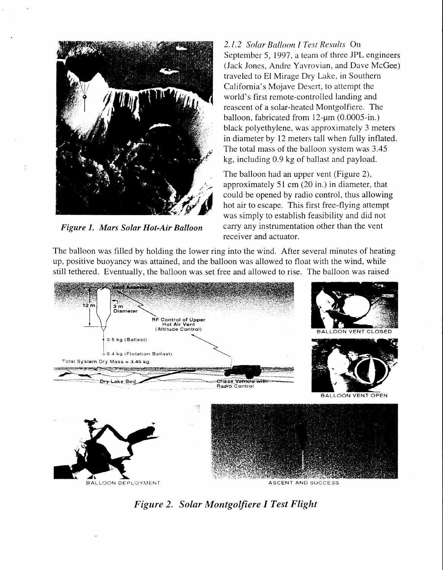

*Figure 1. Mars Solar Hot-Air Balloon* 

2.1.2 *Solar Balloon I Test Results* On September 5, 1997, a team of three JPL engineers (Jack Jones, Andre Yavrovian, and Dave McGee) traveled to El Mirage Dry Lake, in Southern California's Mojave Desert, to attempt the world's first remote-controlled landing and reascent of a solar-heated Montgolfiere. The balloon, fabricated from  $12$ - $\mu$ m (0.0005-in.) black polyethylene, was approximately 3 meters in diameter by 12 meters tall when fully inflated. The total mass of the balloon system was 3.45 kg, including 0.9 kg of ballast and payload.

The balloon had an upper vent (Figure 2), approximately *5* 1 cm (20 in.) in diameter, that could be opened by radio control, thus allowing hot air to escape. This first free-flying attempt was simply to establish feasibility and did not carry any instrumentation other than the vent receiver and actuator.

The balloon was filled by holding the lower ring into the wind. After several minutes of heating up, positive buoyancy was attained, and the balloon was allowed to float with the wind, while still tethered. Eventually, the balloon was set free and allowed to rise. The balloon was raised



*Figure 2. Solar Montgolfiere I Test Flight*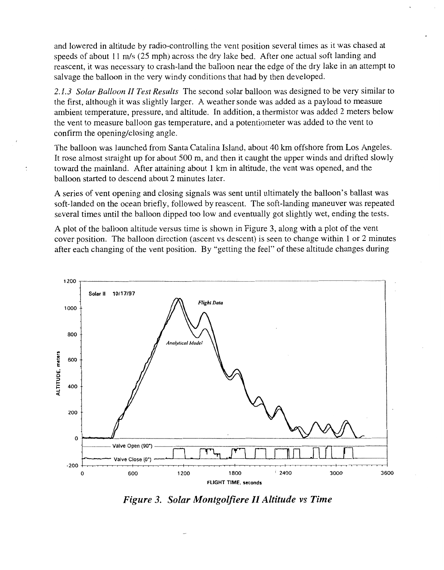and lowered in altitude by radio-controlling the vent position several times as it was chased at speeds of about 11 m/s (25 mph) across the dry lake bed. After one actual soft landing and reascent, it was necessary to crash-land the balloon near the edge of the dry lake in an attempt to salvage the balloon in the very windy conditions that had by then developed.

*2.1.3 Solar Balloon 11 Test Results* The second solar balloon was designed to be very similar to the first, although it was slightly larger. A weather sonde was added as a payload to measure ambient temperature, pressure, and altitude. In addition, a thermistor was added 2 meters below the vent to measure balloon gas temperature, and a potentiometer was added to the vent to confirm the opening/closing angle.

The balloon was launched from Santa Catalina Island, about **40** km offshore from Los Angeles. It rose almost straight up for about 500 m, and then it caught the upper winds and drifted slowly toward the mainland. After attaining about 1 km in altitude, the vent was opened, and the balloon started to descend about 2 minutes later.

A series of vent opening and closing signals was sent until ultimately the balloon's ballast was soft-landed on the ocean briefly, followed by reascent. The soft-landing maneuver was repeated several times until the balloon dipped too low and eventually got slightly wet, ending the tests.

A plot of the balloon altitude versus time is shown in Figure 3, along with a plot of the vent cover position. The balloon direction (ascent vs descent) is seen to change within 1 or 2 minutes after each changing of the vent position. By "getting the feel" of these altitude changes during



*Figure 3. Solar Montgoljiere 11 Altitude vs Time*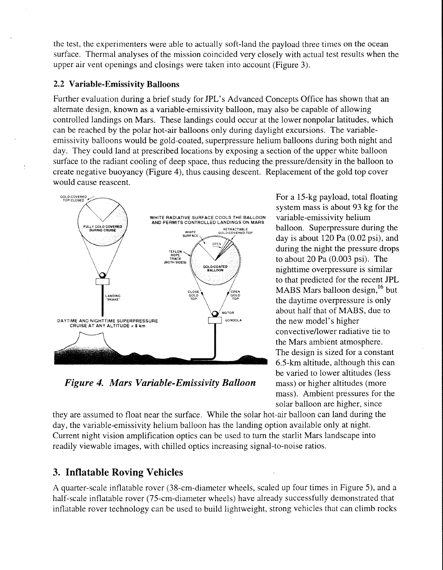the test, the experimenters were able to actually soft-land the payload three times on the ocean surface. Thermal analyses of the mission coincided very closely with actual test results when the upper air vent openings and closings were taken into account (Figure *3).* 

#### **2.2 Variable-Emissivity Balloons**

Further evaluation during a brief study for JPL's Advanced Concepts Office has shown that an alternate design, known as a variable-emissivity balloon, may also be capable of allowing controlled landings on Mars. These landings could occur at the lower nonpolar latitudes, which can be reached by the polar hot-air balloons only during daylight excursions. The variableemissivity balloons would be gold-coated, superpressure helium balloons during both night and day. They could land at prescribed locations by exposing a section of the upper white balloon surface to the radiant cooling of deep space, thus reducing the pressure/density in the balloon to create negative buoyancy (Figure **4),** thus causing descent. Replacement of the gold top cover would cause reascent.



*Figure 4. Mars Variable-Emissivity Balloon* mass) or higher altitudes (more

For a 15-kg payload, total floating system mass is about 93 kg for the **RETRACTABLE WHITE GUILDING COVERTRACT DEPARTMENT DEPARTMENT DEPARTMENT ON A DEPARTMENT OF A DEPARTMENT OF A DE** day is about 120 Pa (0.02 psi), and TEFLON **during the night the pressure drops**<br> **ROPE ROPE ROPE ROPE ROPE ROPE ROPE ROPE ROPE ROPE ROPE ROPE ROPE ROPE ROPE ROPE ROPE ROPE ROPE ROPE ROPE ROPE**   $\begin{array}{c} \mathcal{F}_{\text{SOLPCONIED}} \\ \hline \text{BALCOMIEDON} \end{array}$  to about 20 Pa (0.003 psi). The nighttime overpressure is similar nighttime overpressure is similar to that predicted for the recent JPL MABS Mars balloon design,<sup>16</sup> but the daytime overpressure is only about half that of MABS, due to convective/lower radiative tie to GONDOLA **the new model's higher** the Mars ambient atmosphere. The design is sized for a constant 6.5-km altitude, although this can be varied to lower altitudes (less mass). Ambient pressures for the solar balloon are higher, since

they are assumed to float near the surface. While the solar hot-air balloon can land during the day, the variable-emissivity helium balloon has the landing option available only at night. Current night vision amplification optics can be used to turn the starlit Mars landscape into readily viewable images, with chilled optics increasing signal-to-noise ratios.

### **3. Inflatable Roving Vehicles**

**A** quarter-scale inflatable rover (38-cm-diameter wheels, scaled up four times in Figure 5), and a half-scale inflatable rover (75-cm-diameter wheels) have already successfully demonstrated that inflatable rover technology can be used to build lightweight, strong vehicles that can climb rocks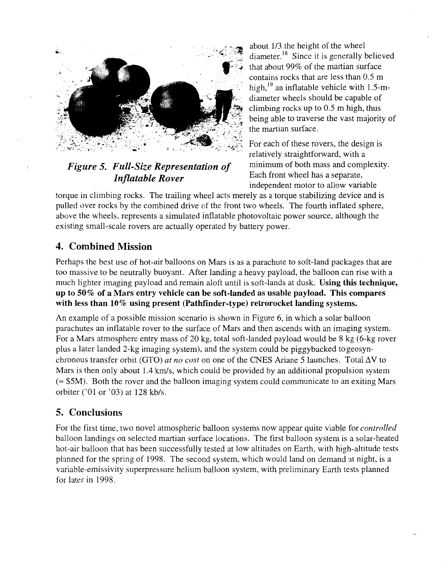

# *Figure 5. Full-Size Representation of Inflatable Rover*

about 1/3 the height of the wheel diameter.<sup>18</sup> Since it is generally believed that about 99% of the martian surface contains rocks that are less than 0.5 m high,  $^{19}$  an inflatable vehicle with 1.5-mdiameter wheels should be capable of climbing rocks up to 0.5 m high, thus being able to traverse the vast majority of the martian surface.

For each of these rovers, the design is relatively straightforward, with a minimum of both mass and complexity. Each front wheel has a separate, independent motor to allow variable

torque in climbing rocks. The trailing wheel acts merely as a torque stabilizing device and is pulled over rocks by the combined drive of the front two wheels. The fourth inflated sphere, above the wheels, represents a simulated inflatable photovoltaic power source, although the existing small-scale rovers are actually operated by battery power.

# **4. Combined Mission**

Perhaps the best use of hot-air balloons on Mars is as a parachute to soft-land packages that are too massive to be neutrally buoyant. After landing a heavy payload, the balloon can rise with a much lighter imaging payload and remain aloft until is soft-lands at dusk. **Using this technique, up to 50% of a Mars entry vehicle can be soft-landed as usable payload. This compares with less than 10% using present (Pathfinder-type) retrorocket landing systems.** 

An example of a possible mission scenario is shown in Figure 6, in which a solar balloon parachutes an inflatable rover to the surface of Mars and then ascends with an imaging system. For a Mars atmosphere entry mass of 20 kg, total soft-landed payload would be 8 kg (6-kg rover plus a later landed 2-kg imaging system), and the system could be piggybacked togeosynchronous transfer orbit (GTO) *ut no cost* on one of the CNES Ariane 5 launches. Total **AV** to Mars is then only about **1.4** km/s, which could be provided by an additional propulsion system  $($   $\approx$  \$5M). Both the rover and the balloon imaging system could communicate to an exiting Mars orbiter ('01 or '03) at 128 kb/s.

# **5. Conclusions**

For the first time, two novel atmospheric balloon systems now appear quite viable for *controlled*  balloon landings on selected martian surface locations. The first balloon system is a solar-heated hot-air balloon that has been successfully tested at low altitudes on Earth, with high-altitude tests planned for the spring of 1998. The second system, which would land on demand at night, is a variable-emissivity superpressure helium balloon system, with preliminary Earth tests planned for later in 1998.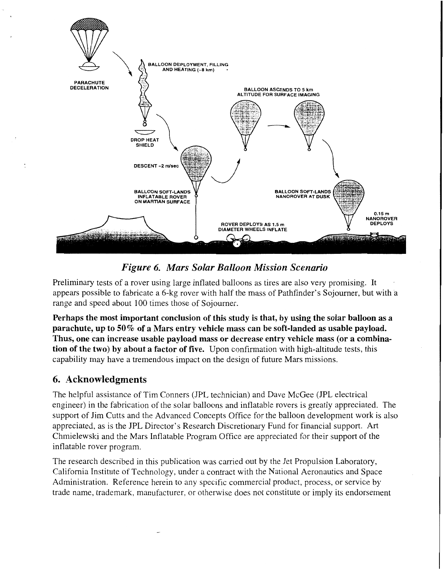

*Figure 6. Mars Solar Balloon Mission Scenario* 

Preliminary tests of a rover using large inflated balloons as tires are also very promising. It appears possible to fabricate a 6-kg rover with half the mass of Pathfinder's Sojourner, but with a range and speed about 100 times those of Sojourner.

**Perhaps the most important conclusion of this study is that, by using the solar balloon as a parachute, up to 50% of a Mars entry vehicle mass can be soft-landed as usable payload. Thus, one can increase usable payload mass or decrease entry vehicle mass (or a combination of the two) by about a factor of five.** Upon confirmation with high-altitude tests, this capability may have a tremendous impact on the design of future Mars missions.

# **6. Acknowledgments**

The helpful assistance of Tim Conners (JPL technician) and Dave McGee (JPL electrical engineer) in the fabrication of the solar balloons and inflatable rovers is greatly appreciated. The support of Jim Cutts and the Advanced Concepts Office for the balloon development work is also appreciated, as is the JPL Director's Research Discretionary Fund for financial support. Art Chmielewski and the Mars Inflatable Program Office are appreciated for their support of the inflatable rover program.

The research described in this publication was carried out by the Jet Propulsion Laboratory, California Institute of Technology, under a contract with the National Aeronautics and Space Administration. Reference herein to any specific commercial product, process, or service by trade name, trademark, manufacturer, or otherwise does not constitute or imply its endorsement